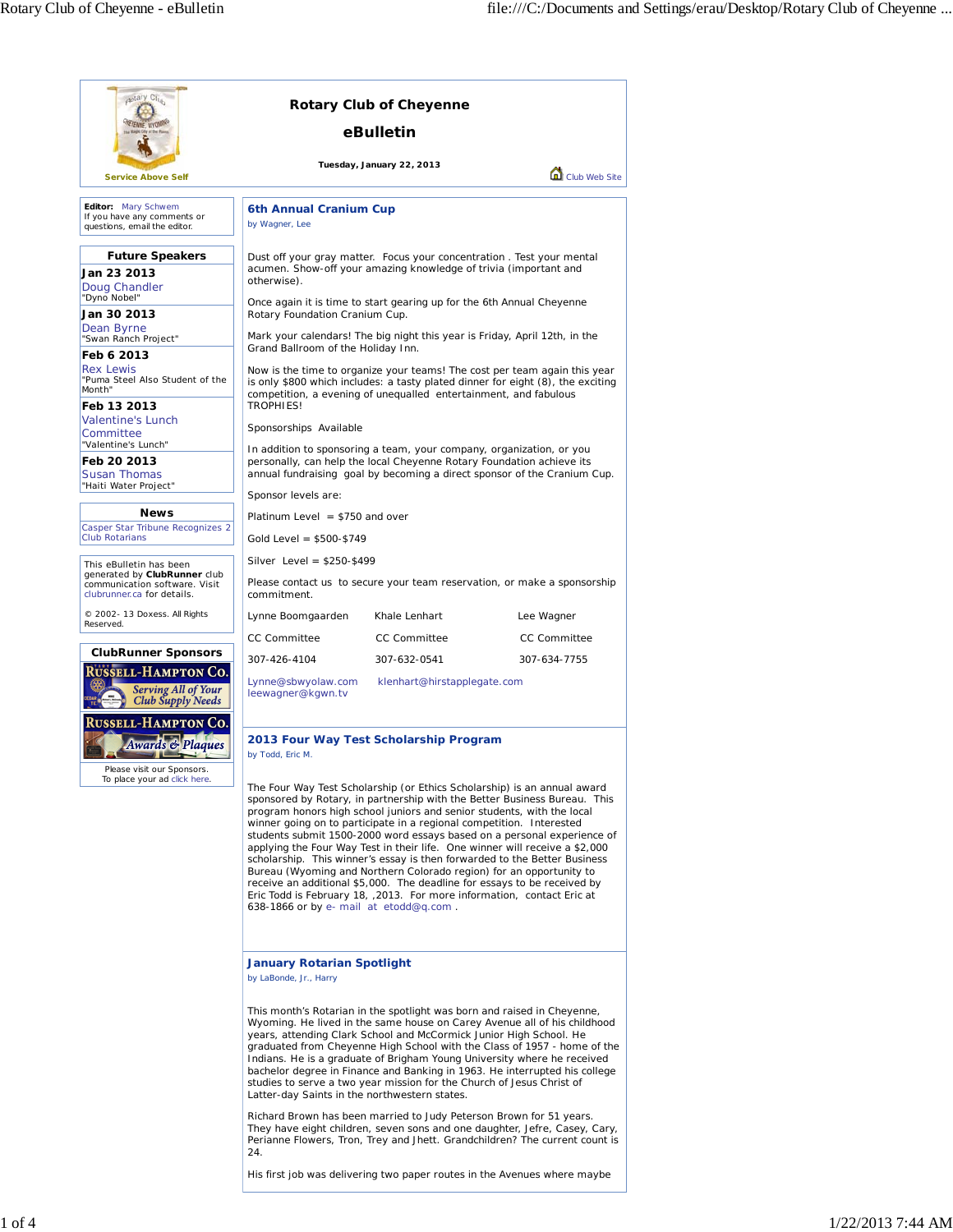| aptary Club                                                                                                                                                                                                     |                                                                                                                                                                                                                                                                 | <b>Rotary Club of Cheyenne</b>              |                                                                                                                                                                                                                                                                                                                                                                                                                                                                                                                                                   |
|-----------------------------------------------------------------------------------------------------------------------------------------------------------------------------------------------------------------|-----------------------------------------------------------------------------------------------------------------------------------------------------------------------------------------------------------------------------------------------------------------|---------------------------------------------|---------------------------------------------------------------------------------------------------------------------------------------------------------------------------------------------------------------------------------------------------------------------------------------------------------------------------------------------------------------------------------------------------------------------------------------------------------------------------------------------------------------------------------------------------|
|                                                                                                                                                                                                                 |                                                                                                                                                                                                                                                                 | eBulletin                                   |                                                                                                                                                                                                                                                                                                                                                                                                                                                                                                                                                   |
| <b>Service Above Self</b>                                                                                                                                                                                       |                                                                                                                                                                                                                                                                 | Tuesday, January 22, 2013                   | Club Web Site                                                                                                                                                                                                                                                                                                                                                                                                                                                                                                                                     |
| Editor: Mary Schwem<br>If you have any comments or<br>questions, email the editor.                                                                                                                              | 6th Annual Cranium Cup<br>by Wagner, Lee                                                                                                                                                                                                                        |                                             |                                                                                                                                                                                                                                                                                                                                                                                                                                                                                                                                                   |
| <b>Future Speakers</b><br>Jan 23 2013<br>Doug Chandler                                                                                                                                                          | Dust off your gray matter. Focus your concentration. Test your mental<br>acumen. Show-off your amazing knowledge of trivia (important and<br>otherwise).<br>Once again it is time to start gearing up for the 6th Annual Cheyenne                               |                                             |                                                                                                                                                                                                                                                                                                                                                                                                                                                                                                                                                   |
| "Dyno Nobel"<br>Jan 30 2013<br>Dean Byrne                                                                                                                                                                       | Rotary Foundation Cranium Cup.                                                                                                                                                                                                                                  |                                             |                                                                                                                                                                                                                                                                                                                                                                                                                                                                                                                                                   |
| "Swan Ranch Project"<br>Feb 6 2013                                                                                                                                                                              | Grand Ballroom of the Holiday Inn.                                                                                                                                                                                                                              |                                             | Mark your calendars! The big night this year is Friday, April 12th, in the                                                                                                                                                                                                                                                                                                                                                                                                                                                                        |
| <b>Rex Lewis</b><br>"Puma Steel Also Student of the<br>Month"<br>Feb 13 2013                                                                                                                                    | Now is the time to organize your teams! The cost per team again this year<br>is only \$800 which includes: a tasty plated dinner for eight (8), the exciting<br>competition, a evening of unequalled entertainment, and fabulous<br>TROPHIES!                   |                                             |                                                                                                                                                                                                                                                                                                                                                                                                                                                                                                                                                   |
| Valentine's Lunch<br>Committee<br>"Valentine's Lunch"                                                                                                                                                           | Sponsorships Available                                                                                                                                                                                                                                          |                                             |                                                                                                                                                                                                                                                                                                                                                                                                                                                                                                                                                   |
| Feb 20 2013<br><b>Susan Thomas</b><br>"Haiti Water Project"                                                                                                                                                     | In addition to sponsoring a team, your company, organization, or you<br>personally, can help the local Cheyenne Rotary Foundation achieve its                                                                                                                   |                                             | annual fundraising goal by becoming a direct sponsor of the Cranium Cup.                                                                                                                                                                                                                                                                                                                                                                                                                                                                          |
|                                                                                                                                                                                                                 | Sponsor levels are:                                                                                                                                                                                                                                             |                                             |                                                                                                                                                                                                                                                                                                                                                                                                                                                                                                                                                   |
| <b>News</b><br>Casper Star Tribune Recognizes 2<br><b>Club Rotarians</b>                                                                                                                                        | Platinum Level $= $750$ and over<br>Gold Level = $$500-$749$                                                                                                                                                                                                    |                                             |                                                                                                                                                                                                                                                                                                                                                                                                                                                                                                                                                   |
|                                                                                                                                                                                                                 | Silver Level = \$250-\$499                                                                                                                                                                                                                                      |                                             |                                                                                                                                                                                                                                                                                                                                                                                                                                                                                                                                                   |
| This eBulletin has been<br>generated by ClubRunner club<br>communication software. Visit<br>clubrunner.ca for details.                                                                                          | commitment.                                                                                                                                                                                                                                                     |                                             | Please contact us to secure your team reservation, or make a sponsorship                                                                                                                                                                                                                                                                                                                                                                                                                                                                          |
| © 2002- 13 Doxess. All Rights<br>Reserved.                                                                                                                                                                      | Lynne Boomgaarden                                                                                                                                                                                                                                               | Khale Lenhart                               | Lee Wagner                                                                                                                                                                                                                                                                                                                                                                                                                                                                                                                                        |
|                                                                                                                                                                                                                 | <b>CC Committee</b>                                                                                                                                                                                                                                             | <b>CC Committee</b>                         | <b>CC Committee</b>                                                                                                                                                                                                                                                                                                                                                                                                                                                                                                                               |
| <b>ClubRunner Sponsors</b><br><b>RUSSELL-HAMPTON CO.</b><br><b>Serving All of Your</b><br><b>Club Supply Needs</b>                                                                                              | 307-426-4104<br>Lynne@sbwyolaw.com<br>leewagner@kgwn.tv                                                                                                                                                                                                         | 307-632-0541<br>klenhart@hirstapplegate.com | 307-634-7755                                                                                                                                                                                                                                                                                                                                                                                                                                                                                                                                      |
| Russell-Hampton Co.<br>Awards & Plaques<br><b><i><u>But the set of the set of the set of the set of the set of the set of the set of the set of the set of the s</u></i></b><br>--<br>Please visit our Sponsors | 2013 Four Way Test Scholarship Program<br>by Todd, Eric M.                                                                                                                                                                                                      |                                             |                                                                                                                                                                                                                                                                                                                                                                                                                                                                                                                                                   |
| To place your ad click here.                                                                                                                                                                                    | program honors high school juniors and senior students, with the local<br>winner going on to participate in a regional competition. Interested<br>Bureau (Wyoming and Northern Colorado region) for an opportunity to<br>638-1866 or by e- mail at etodd@q.com. |                                             | The Four Way Test Scholarship (or Ethics Scholarship) is an annual award<br>sponsored by Rotary, in partnership with the Better Business Bureau. This<br>students submit 1500-2000 word essays based on a personal experience of<br>applying the Four Way Test in their life. One winner will receive a \$2,000<br>scholarship. This winner's essay is then forwarded to the Better Business<br>receive an additional \$5,000. The deadline for essays to be received by<br>Eric Todd is February 18, 2013. For more information, contact Eric at |
|                                                                                                                                                                                                                 | <b>January Rotarian Spotlight</b><br>by LaBonde, Jr., Harry                                                                                                                                                                                                     |                                             |                                                                                                                                                                                                                                                                                                                                                                                                                                                                                                                                                   |
|                                                                                                                                                                                                                 | years, attending Clark School and McCormick Junior High School. He<br>studies to serve a two year mission for the Church of Jesus Christ of<br>Latter-day Saints in the northwestern states.                                                                    |                                             | This month's Rotarian in the spotlight was born and raised in Cheyenne,<br>Wyoming. He lived in the same house on Carey Avenue all of his childhood<br>graduated from Cheyenne High School with the Class of 1957 - home of the<br>Indians. He is a graduate of Brigham Young University where he received<br>bachelor degree in Finance and Banking in 1963. He interrupted his college                                                                                                                                                          |
|                                                                                                                                                                                                                 | Richard Brown has been married to Judy Peterson Brown for 51 years.<br>24.                                                                                                                                                                                      |                                             | They have eight children, seven sons and one daughter, Jefre, Casey, Cary,<br>Perianne Flowers, Tron, Trey and Jhett. Grandchildren? The current count is                                                                                                                                                                                                                                                                                                                                                                                         |

His first job was delivering two paper routes in the Avenues where maybe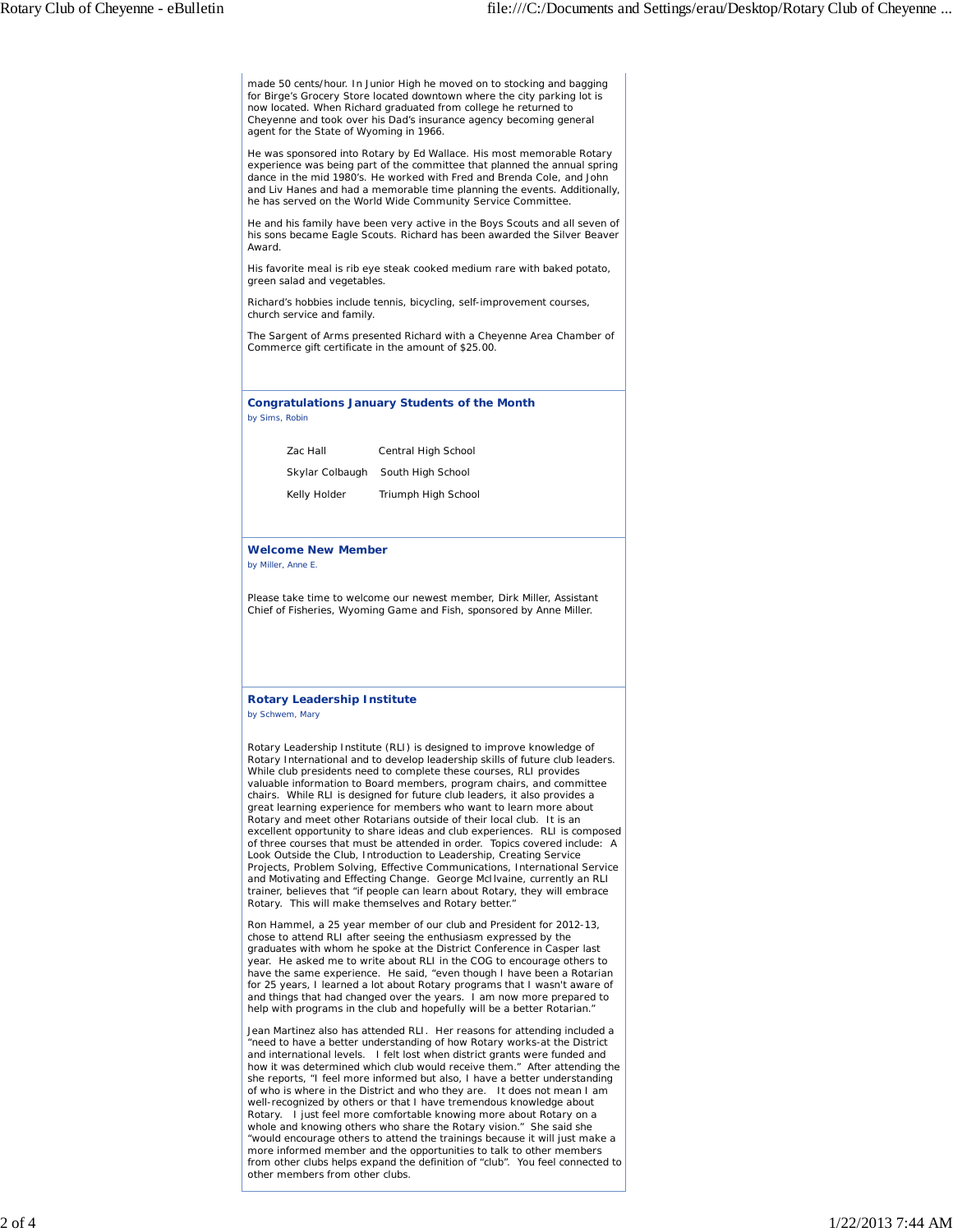made 50 cents/hour. In Junior High he moved on to stocking and bagging for Birge's Grocery Store located downtown where the city parking lot is now located. When Richard graduated from college he returned to Cheyenne and took over his Dad's insurance agency becoming general agent for the State of Wyoming in 1966.

He was sponsored into Rotary by Ed Wallace. His most memorable Rotary experience was being part of the committee that planned the annual spring dance in the mid 1980's. He worked with Fred and Brenda Cole, and John and Liv Hanes and had a memorable time planning the events. Additionally, he has served on the World Wide Community Service Committee.

He and his family have been very active in the Boys Scouts and all seven of his sons became Eagle Scouts. Richard has been awarded the Silver Beaver Award.

His favorite meal is rib eye steak cooked medium rare with baked potato, green salad and vegetables.

Richard's hobbies include tennis, bicycling, self-improvement courses, church service and family.

The Sargent of Arms presented Richard with a Cheyenne Area Chamber of Commerce gift certificate in the amount of \$25.00.

**Congratulations January Students of the Month** *by Sims, Robin*

| Zac Hall        | Central High School |
|-----------------|---------------------|
| Skylar Colbaugh | South High School   |
| Kelly Holder    | Triumph High School |

## **Welcome New Member**

*by Miller, Anne E.*

Please take time to welcome our newest member, Dirk Miller, Assistant Chief of Fisheries, Wyoming Game and Fish, sponsored by Anne Miller.

## **Rotary Leadership Institute** *by Schwem, Mary*

Rotary Leadership Institute (RLI) is designed to improve knowledge of Rotary International and to develop leadership skills of future club leaders. While club presidents need to complete these courses, RLI provides valuable information to Board members, program chairs, and committee chairs. While RLI is designed for future club leaders, it also provides a great learning experience for members who want to learn more about Rotary and meet other Rotarians outside of their local club. It is an excellent opportunity to share ideas and club experiences. RLI is composed of three courses that must be attended in order. Topics covered include: A

Look Outside the Club, Introduction to Leadership, Creating Service Projects, Problem Solving, Effective Communications, International Service and Motivating and Effecting Change. George McIlvaine, currently an RLI trainer, believes that "if people can learn about Rotary, they will embrace Rotary. This will make themselves and Rotary better."

Ron Hammel, a 25 year member of our club and President for 2012-13, chose to attend RLI after seeing the enthusiasm expressed by the graduates with whom he spoke at the District Conference in Casper last year. He asked me to write about RLI in the COG to encourage others to have the same experience. He said, "even though I have been a Rotarian for 25 years, I learned a lot about Rotary programs that I wasn't aware of and things that had changed over the years. I am now more prepared to help with programs in the club and hopefully will be a better Rotarian."

Jean Martinez also has attended RLI. Her reasons for attending included a "need to have a better understanding of how Rotary works-at the District and international levels. I felt lost when district grants were funded and how it was determined which club would receive them." After attending the she reports, "I feel more informed but also, I have a better understanding of who is where in the District and who they are. It does not mean I am well-recognized by others or that I have tremendous knowledge about Rotary. I just feel more comfortable knowing more about Rotary on a whole and knowing others who share the Rotary vision." She said she "would encourage others to attend the trainings because it will just make a more informed member and the opportunities to talk to other members from other clubs helps expand the definition of "club". You feel connected to other members from other clubs.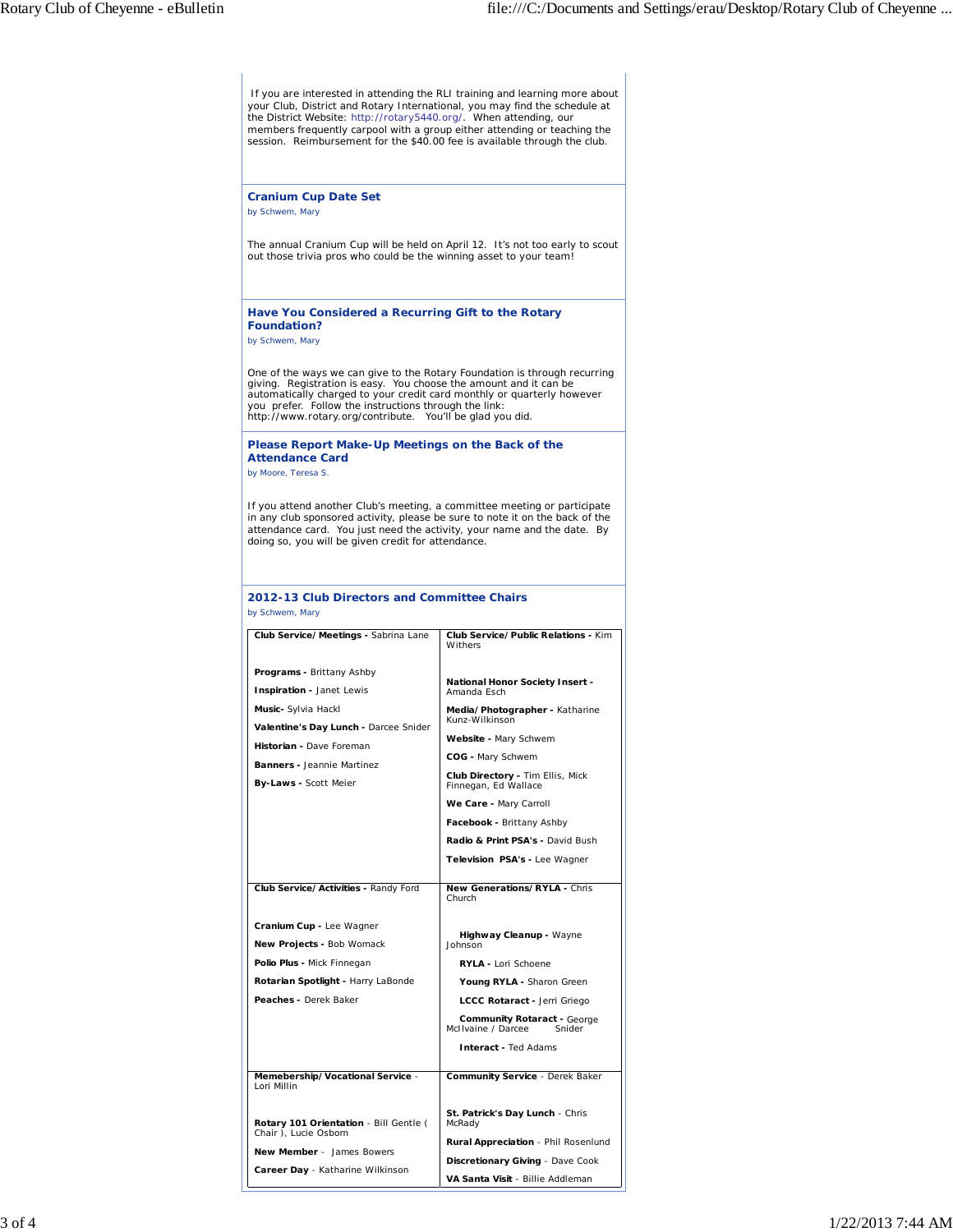If you are interested in attending the RLI training and learning more about your Club, District and Rotary International, you may find the schedule at the District Website: http://rotary5440.org/. When attending, our members frequently carpool with a group either attending or teaching the session. Reimbursement for the \$40.00 fee is available through the club. **Cranium Cup Date Set** *by Schwem, Mary* The annual Cranium Cup will be held on April 12. It's not too early to scout out those trivia pros who could be the winning asset to your team! **Have You Considered a Recurring Gift to the Rotary Foundation?** *by Schwem, Mary* One of the ways we can give to the Rotary Foundation is through recurring<br>giving. Registration is easy. You choose the amount and it can be<br>automatically charged to your credit card monthly or quarterly however you prefer. Follow the instructions through the link: http://www.rotary.org/contribute. You'll be glad you did. **Please Report Make-Up Meetings on the Back of the Attendance Card** *by Moore, Teresa S.* If you attend another Club's meeting, a committee meeting or participate in any club sponsored activity, please be sure to note it on the back of the attendance card. You just need the activity, your name and the date. By doing so, you will be given credit for attendance. **2012-13 Club Directors and Committee Chairs** *by Schwem, Mary* **Club Service/Meetings -** Sabrina Lane *Programs* **-** Brittany Ashby **Inspiration** - Janet Lewis *Music***-** Sylvia Hackl *Valentine's Day Lunch* **-** Darcee Snider *Historian* **-** Dave Foreman *Banners* **-** Jeannie Martinez *By-Laws* **-** Scott Meier **Club Service/Public Relations -** Kim Withers *National Honor Society Insert* **-** Amanda Esch *Media/Photographer* **-** Katharine Kunz-Wilkinson *Website* **-** Mary Schwem *COG* **-** Mary Schwem *Club Directory* **-** Tim Ellis, Mick Finnegan, Ed Wallace *We Care* **-** Mary Carroll *Facebook* **-** Brittany Ashby *Radio & Print PSA's* **-** David Bush *Television PSA's* **-** Lee Wagner **Club Service/Activities -** Randy Ford *Cranium Cup* **-** Lee Wagner *New Projects* **-** Bob Womack *Polio Plus* **-** Mick Finnegan *Rotarian Spotlight* **-** Harry LaBonde *Peaches* **-** Derek Baker **New Generations/RYLA - Chris** Church *Highway Cleanup* **-** Wayne Johnson *RYLA* **-** Lori Schoene *Young RYLA* **-** Sharon Green *LCCC Rotaract* **-** Jerri Griego **Community Rotaract** - George<br>Ilvaine / Darcee Snider McIIvaine / Darcee *Interact* **-** Ted Adams **Memebership/Vocational Service** - Lori Millin *Rotary 101 Orientation* - Bill Gentle ( Chair ), Lucie Osborn *New Member* - James Bowers *Career Day* - Katharine Wilkinson **Community Service** - Derek Baker *St. Patrick's Day Lunch* - Chris McRady *Rural Appreciation* - Phil Rosenlund *Discretionary Giving* - Dave Cook *VA Santa Visit* - Billie Addleman